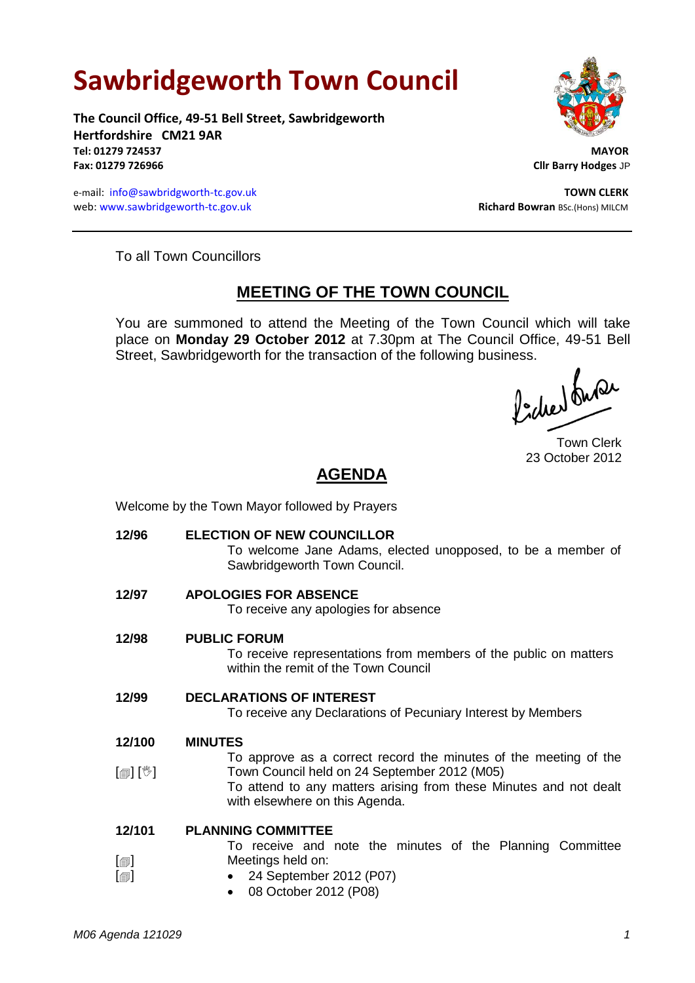# **Sawbridgeworth Town Council**

**The Council Office, 49-51 Bell Street, Sawbridgeworth Hertfordshire CM21 9AR Tel: 01279 724537 MAYOR Fax: 01279 726966 Cllr Barry Hodges** JP

e-mail: [info@sawbridgworth-tc.gov.uk](mailto:info@sawbridgworth-tc.gov.uk) **TOWN CLERK** web: www.sawbridgeworth-tc.gov.uk **Richard Bowran** BSc.(Hons) MILCM



To all Town Councillors

## **MEETING OF THE TOWN COUNCIL**

You are summoned to attend the Meeting of the Town Council which will take place on **Monday 29 October 2012** at 7.30pm at The Council Office, 49-51 Bell Street, Sawbridgeworth for the transaction of the following business.<br>  $\Lambda$  ,  $\Lambda$ 

Town Clerk 23 October 2012

# **AGENDA**

Welcome by the Town Mayor followed by Prayers

**12/96 ELECTION OF NEW COUNCILLOR** To welcome Jane Adams, elected unopposed, to be a member of Sawbridgeworth Town Council. **12/97 APOLOGIES FOR ABSENCE** To receive any apologies for absence **12/98 PUBLIC FORUM** To receive representations from members of the public on matters within the remit of the Town Council **12/99 DECLARATIONS OF INTEREST** To receive any Declarations of Pecuniary Interest by Members **12/100**  $\lceil \frac{m}{2} \rceil$   $\lceil \frac{m}{2} \rceil$ **MINUTES** To approve as a correct record the minutes of the meeting of the Town Council held on 24 September 2012 (M05) To attend to any matters arising from these Minutes and not dealt with elsewhere on this Agenda. **12/101**  $\lceil$  $\blacksquare$  $\Box$ **PLANNING COMMITTEE** To receive and note the minutes of the Planning Committee Meetings held on: 24 September 2012 (P07) 08 October 2012 (P08)